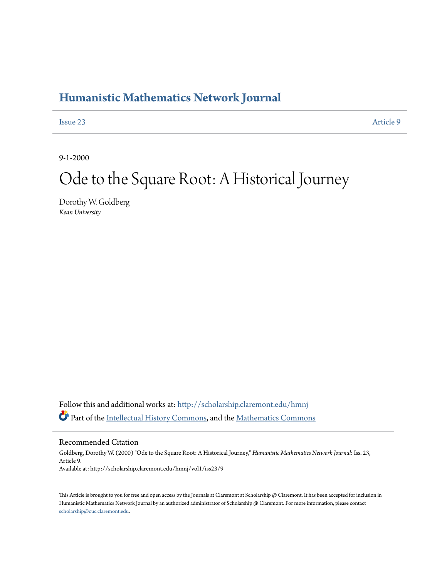## **[Humanistic Mathematics Network Journal](http://scholarship.claremont.edu/hmnj?utm_source=scholarship.claremont.edu%2Fhmnj%2Fvol1%2Fiss23%2F9&utm_medium=PDF&utm_campaign=PDFCoverPages)**

[Issue 23](http://scholarship.claremont.edu/hmnj/vol1/iss23?utm_source=scholarship.claremont.edu%2Fhmnj%2Fvol1%2Fiss23%2F9&utm_medium=PDF&utm_campaign=PDFCoverPages) [Article 9](http://scholarship.claremont.edu/hmnj/vol1/iss23/9?utm_source=scholarship.claremont.edu%2Fhmnj%2Fvol1%2Fiss23%2F9&utm_medium=PDF&utm_campaign=PDFCoverPages)

9-1-2000

# Ode to the Square Root: A Historical Journey

Dorothy W. Goldberg *Kean University*

Follow this and additional works at: [http://scholarship.claremont.edu/hmnj](http://scholarship.claremont.edu/hmnj?utm_source=scholarship.claremont.edu%2Fhmnj%2Fvol1%2Fiss23%2F9&utm_medium=PDF&utm_campaign=PDFCoverPages) Part of the [Intellectual History Commons](http://network.bepress.com/hgg/discipline/501?utm_source=scholarship.claremont.edu%2Fhmnj%2Fvol1%2Fiss23%2F9&utm_medium=PDF&utm_campaign=PDFCoverPages), and the [Mathematics Commons](http://network.bepress.com/hgg/discipline/174?utm_source=scholarship.claremont.edu%2Fhmnj%2Fvol1%2Fiss23%2F9&utm_medium=PDF&utm_campaign=PDFCoverPages)

Recommended Citation

Goldberg, Dorothy W. (2000) "Ode to the Square Root: A Historical Journey," *Humanistic Mathematics Network Journal*: Iss. 23, Article 9. Available at: http://scholarship.claremont.edu/hmnj/vol1/iss23/9

This Article is brought to you for free and open access by the Journals at Claremont at Scholarship @ Claremont. It has been accepted for inclusion in Humanistic Mathematics Network Journal by an authorized administrator of Scholarship @ Claremont. For more information, please contact [scholarship@cuc.claremont.edu.](mailto:scholarship@cuc.claremont.edu)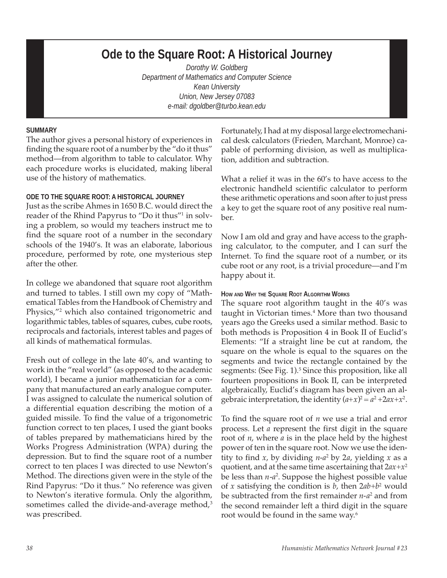## **Ode to the Square Root: A Historical Journey**

*Dorothy W. Goldberg Department of Mathematics and Computer Science Kean University Union, New Jersey 07083 e-mail: dgoldber@turbo.kean.edu*

#### **SUMMARY**

The author gives a personal history of experiences in finding the square root of a number by the "do it thus" method—from algorithm to table to calculator. Why each procedure works is elucidated, making liberal use of the history of mathematics.

#### **ODE TO THE SQUARE ROOT: A HISTORICAL JOURNEY**

Just as the scribe Ahmes in 1650 B.C. would direct the reader of the Rhind Papyrus to "Do it thus"1 in solving a problem, so would my teachers instruct me to find the square root of a number in the secondary schools of the 1940's. It was an elaborate, laborious procedure, performed by rote, one mysterious step after the other.

In college we abandoned that square root algorithm and turned to tables. I still own my copy of "Mathematical Tables from the Handbook of Chemistry and Physics,"<sup>2</sup> which also contained trigonometric and logarithmic tables, tables of squares, cubes, cube roots, reciprocals and factorials, interest tables and pages of all kinds of mathematical formulas.

Fresh out of college in the late 40's, and wanting to work in the "real world" (as opposed to the academic world), I became a junior mathematician for a company that manufactured an early analogue computer. I was assigned to calculate the numerical solution of a differential equation describing the motion of a guided missile. To find the value of a trigonometric function correct to ten places, I used the giant books of tables prepared by mathematicians hired by the Works Progress Administration (WPA) during the depression. But to find the square root of a number correct to ten places I was directed to use Newton's Method. The directions given were in the style of the Rind Papyrus: "Do it thus." No reference was given to Newton's iterative formula. Only the algorithm, sometimes called the divide-and-average method,<sup>3</sup> was prescribed.

Fortunately, I had at my disposal large electromechanical desk calculators (Frieden, Marchant, Monroe) capable of performing division, as well as multiplication, addition and subtraction.

What a relief it was in the 60's to have access to the electronic handheld scientific calculator to perform these arithmetic operations and soon after to just press a key to get the square root of any positive real number.

Now I am old and gray and have access to the graphing calculator, to the computer, and I can surf the Internet. To find the square root of a number, or its cube root or any root, is a trivial procedure—and I'm happy about it.

#### **HOW AND WHY THE SQUARE ROOT ALGORITHM WORKS**

The square root algorithm taught in the 40's was taught in Victorian times.<sup>4</sup> More than two thousand years ago the Greeks used a similar method. Basic to both methods is Proposition 4 in Book II of Euclid's Elements: "If a straight line be cut at random, the square on the whole is equal to the squares on the segments and twice the rectangle contained by the segments: (See Fig. 1).<sup>5</sup> Since this proposition, like all fourteen propositions in Book II, can be interpreted algebraically, Euclid's diagram has been given an algebraic interpretation, the identity  $(a+x)^2 = a^2 + 2ax + x^2$ .

To find the square root of *n* we use a trial and error process. Let *a* represent the first digit in the square root of *n*, where *a* is in the place held by the highest power of ten in the square root. Now we use the identity to find *x*, by dividing *n*-*a*<sup>2</sup> by 2*a*, yielding *x* as a quotient, and at the same time ascertaining that 2*ax*+*x*<sup>2</sup> be less than *n*-*a*<sup>2</sup> . Suppose the highest possible value of *x* satisfying the condition is *b*, then  $2ab+b^2$  would be subtracted from the first remainder *n*-*a*<sup>2</sup> and from the second remainder left a third digit in the square root would be found in the same way.6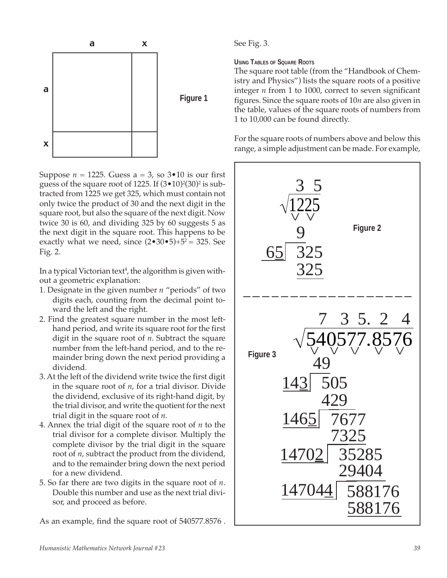

Suppose  $n = 1225$ . Guess  $a = 3$ , so  $3 \cdot 10$  is our first guess of the square root of 1225. If  $(3\text{--}10)^2(30)^2$  is subtracted from 1225 we get 325, which must contain not only twice the product of 30 and the next digit in the square root, but also the square of the next digit. Now twice 30 is 60, and dividing 325 by 60 suggests 5 as the next digit in the square root. This happens to be exactly what we need, since  $(2 \cdot 30 \cdot 5) + 5^2 = 325$ . See Fig. 2.

In a typical Victorian text $^4$ , the algorithm is given without a geometric explanation:

- 1. Designate in the given number *n* "periods" of two digits each, counting from the decimal point toward the left and the right.
- 2. Find the greatest square number in the most lefthand period, and write its square root for the first digit in the square root of *n*. Subtract the square number from the left-hand period, and to the remainder bring down the next period providing a dividend.
- 3. At the left of the dividend write twice the first digit in the square root of *n*, for a trial divisor. Divide the dividend, exclusive of its right-hand digit, by the trial divisor, and write the quotient for the next trial digit in the square root of *n*.
- 4. Annex the trial digit of the square root of *n* to the trial divisor for a complete divisor. Multiply the complete divisor by the trial digit in the square root of *n*, subtract the product from the dividend, and to the remainder bring down the next period for a new dividend.
- 5. So far there are two digits in the square root of *n*. Double this number and use as the next trial divisor, and proceed as before.

As an example, find the square root of 540577.8576 .

See Fig. 3.

### **USING TABLES OF SQUARE ROOTS**

The square root table (from the "Handbook of Chemistry and Physics") lists the square roots of a positive integer *n* from 1 to 1000, correct to seven significant figures. Since the square roots of 10*n* are also given in the table, values of the square roots of numbers from 1 to 10,000 can be found directly.

For the square roots of numbers above and below this range, a simple adjustment can be made. For example,